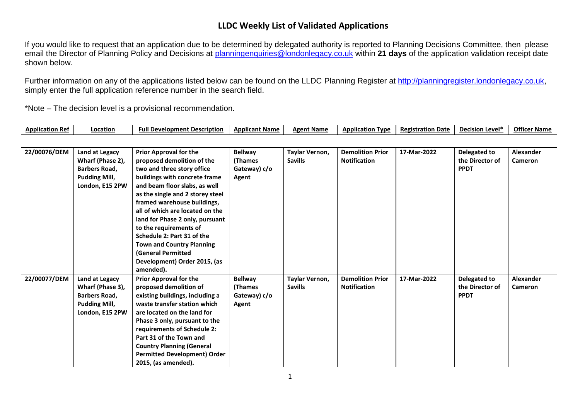## **LLDC Weekly List of Validated Applications**

If you would like to request that an application due to be determined by delegated authority is reported to Planning Decisions Committee, then please email the Director of Planning Policy and Decisions at [planningenquiries@londonlegacy.co.uk](mailto:planningenquiries@londonlegacy.co.uk) within **21 days** of the application validation receipt date shown below.

Further information on any of the applications listed below can be found on the LLDC Planning Register at [http://planningregister.londonlegacy.co.uk,](http://planningregister.londonlegacy.co.uk/) simply enter the full application reference number in the search field.

\*Note – The decision level is a provisional recommendation.

| Application<br>' Re | .ocation | <b>Full Development Description</b> | <b>Elicant Name</b><br>Appli | <b>Agent Namr</b> | <b>Application</b><br>Type | <b>Registration Date</b> | . Level'<br><b>Decision</b> | <b>Officer Name</b> |
|---------------------|----------|-------------------------------------|------------------------------|-------------------|----------------------------|--------------------------|-----------------------------|---------------------|
|---------------------|----------|-------------------------------------|------------------------------|-------------------|----------------------------|--------------------------|-----------------------------|---------------------|

| 22/00076/DEM | Land at Legacy       | <b>Prior Approval for the</b>       | <b>Bellway</b> | Taylar Vernon, | <b>Demolition Prior</b> | 17-Mar-2022 | Delegated to    | <b>Alexander</b> |
|--------------|----------------------|-------------------------------------|----------------|----------------|-------------------------|-------------|-----------------|------------------|
|              | Wharf (Phase 2),     | proposed demolition of the          | (Thames        | <b>Savills</b> | <b>Notification</b>     |             | the Director of | <b>Cameron</b>   |
|              | <b>Barbers Road.</b> | two and three story office          | Gateway) c/o   |                |                         |             | <b>PPDT</b>     |                  |
|              | <b>Pudding Mill,</b> | buildings with concrete frame       | Agent          |                |                         |             |                 |                  |
|              | London, E15 2PW      | and beam floor slabs, as well       |                |                |                         |             |                 |                  |
|              |                      | as the single and 2 storey steel    |                |                |                         |             |                 |                  |
|              |                      | framed warehouse buildings,         |                |                |                         |             |                 |                  |
|              |                      | all of which are located on the     |                |                |                         |             |                 |                  |
|              |                      | land for Phase 2 only, pursuant     |                |                |                         |             |                 |                  |
|              |                      | to the requirements of              |                |                |                         |             |                 |                  |
|              |                      | Schedule 2: Part 31 of the          |                |                |                         |             |                 |                  |
|              |                      | <b>Town and Country Planning</b>    |                |                |                         |             |                 |                  |
|              |                      | (General Permitted                  |                |                |                         |             |                 |                  |
|              |                      | Development) Order 2015, (as        |                |                |                         |             |                 |                  |
|              |                      | amended).                           |                |                |                         |             |                 |                  |
| 22/00077/DEM | Land at Legacy       | <b>Prior Approval for the</b>       | <b>Bellway</b> | Taylar Vernon, | <b>Demolition Prior</b> | 17-Mar-2022 | Delegated to    | Alexander        |
|              | Wharf (Phase 3),     | proposed demolition of              | (Thames        | <b>Savills</b> | <b>Notification</b>     |             | the Director of | Cameron          |
|              | <b>Barbers Road,</b> | existing buildings, including a     | Gateway) c/o   |                |                         |             | <b>PPDT</b>     |                  |
|              | <b>Pudding Mill,</b> | waste transfer station which        | Agent          |                |                         |             |                 |                  |
|              | London, E15 2PW      | are located on the land for         |                |                |                         |             |                 |                  |
|              |                      | Phase 3 only, pursuant to the       |                |                |                         |             |                 |                  |
|              |                      | requirements of Schedule 2:         |                |                |                         |             |                 |                  |
|              |                      | Part 31 of the Town and             |                |                |                         |             |                 |                  |
|              |                      | <b>Country Planning (General</b>    |                |                |                         |             |                 |                  |
|              |                      | <b>Permitted Development) Order</b> |                |                |                         |             |                 |                  |
|              |                      | 2015, (as amended).                 |                |                |                         |             |                 |                  |